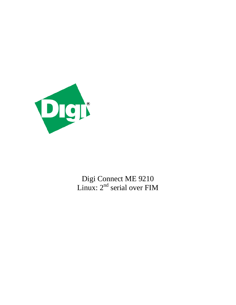

Digi Connect ME 9210 Linux:  $2<sup>nd</sup>$  serial over FIM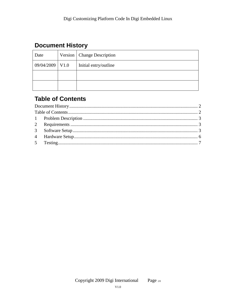# <span id="page-1-0"></span>**Document History**

| Date              | Version   Change Description |  |
|-------------------|------------------------------|--|
| $09/04/2009$ V1.0 | Initial entry/outline        |  |
|                   |                              |  |
|                   |                              |  |

# <span id="page-1-1"></span>**Table of Contents**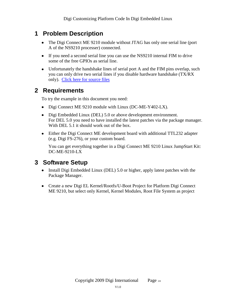# <span id="page-2-0"></span>**1 Problem Description**

- The Digi Connect ME 9210 module without JTAG has only one serial line (port A of the NS9210 processer) connected.
- If you need a second serial line you can use the NS9210 internal FIM to drive some of the free GPIOs as serial line.
- Unfortunately the handshake lines of serial port A and the FIM pins overlap, such you can only drive two serial lines if you disable hardware handshake (TX/RX only). [Click here for source files](http://ftp1.digi.com/support/documentation/ConnectME9210LinuxFIMserial.zip)

### <span id="page-2-1"></span>**2 Requirements**

To try the example in this document you need:

- Digi Connect ME 9210 module with Linux (DC-ME-Y402-LX).
- Digi Embedded Linux (DEL) 5.0 or above development environment. For DEL 5.0 you need to have installed the latest patches via the package manager. With DEL 5.1 it should work out of the box.
- [Either](http://www.digi.com/products/model.jsp?lid=EN&pgid=41&pfid=37&mtid=2077&amtid=2433) the Digi Connect ME development board with additional TTL232 adapter (e.g. Digi FS-276), or your custom board.

You can get everything together in a Digi Connect ME 9210 Linux JumpStart Kit: DC-ME-9210-LX

### <span id="page-2-2"></span>**3 Software Setup**

- Install Digi Embedded Linux (DEL) 5.0 or higher, apply latest patches with the Package Manager.
- Create a new Digi EL Kernel/Rootfs/U-Boot Project for Platform Digi Connect ME 9210, but select only Kernel, Kernel Modules, Root File System as project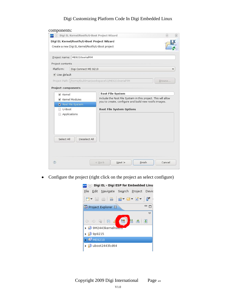#### Digi Customizing Platform Code In Digi Embedded Linux

| Digi EL Kernel/Rootfs/U-Boot Project Wizard<br>$\bullet$<br>ESP | $\otimes$                                                                                                              |  |  |
|-----------------------------------------------------------------|------------------------------------------------------------------------------------------------------------------------|--|--|
| Digi EL Kernel/Rootfs/U-Boot Project Wizard                     |                                                                                                                        |  |  |
| Create a new Digi EL Kernel/Rootfs/U-Boot project               |                                                                                                                        |  |  |
| Project name: ME9210serialFIM                                   |                                                                                                                        |  |  |
| Project contents                                                |                                                                                                                        |  |  |
| Platform:<br>Digi Connect ME 9210                               |                                                                                                                        |  |  |
| V Use default                                                   |                                                                                                                        |  |  |
| Project Path: /home/tkuhlman/workspace51/ME9210serialFIM        | Browse                                                                                                                 |  |  |
|                                                                 |                                                                                                                        |  |  |
| <b>Project components</b>                                       |                                                                                                                        |  |  |
| ✔ Kernel                                                        | <b>Root File System</b>                                                                                                |  |  |
| ✔ Kernel Modules                                                | Include the Root File System in this project. This will allow<br>you to create, configure and build new rootfs images. |  |  |
| Root File System                                                |                                                                                                                        |  |  |
| U-Boot                                                          | <b>Root File System Options</b>                                                                                        |  |  |
| Applications                                                    |                                                                                                                        |  |  |
|                                                                 |                                                                                                                        |  |  |
|                                                                 |                                                                                                                        |  |  |
|                                                                 |                                                                                                                        |  |  |
|                                                                 |                                                                                                                        |  |  |
| Select All<br>Deselect All                                      |                                                                                                                        |  |  |
|                                                                 |                                                                                                                        |  |  |
|                                                                 |                                                                                                                        |  |  |
|                                                                 |                                                                                                                        |  |  |
|                                                                 |                                                                                                                        |  |  |

Configure the project (right click on the project an select configure) $\bullet$ 

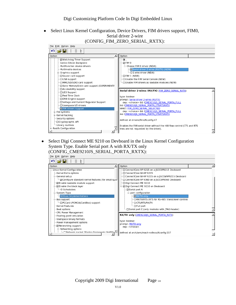Select Linux Kernel Configuration, Device Drivers, FIM drivers support, FIM0, Serial driver 2-wire (CONFIG\_FIM\_ZERO\_SERIAL\_RXTX):



Select Digi Connect ME 9210 on Devboard in the Linux Kernel Configuration  $\bullet$ System Type. Enable Serial port A with RX/TX only (CONFIG\_CME9210JS\_SERIAL\_PORTA\_RXTX):

| File Edit Option Help                                                                                                                                                                                                                                                                                                                                                   |                                                                                                                                                                                                                                                                                                                                                                                                                                                                                  |  |  |  |  |  |
|-------------------------------------------------------------------------------------------------------------------------------------------------------------------------------------------------------------------------------------------------------------------------------------------------------------------------------------------------------------------------|----------------------------------------------------------------------------------------------------------------------------------------------------------------------------------------------------------------------------------------------------------------------------------------------------------------------------------------------------------------------------------------------------------------------------------------------------------------------------------|--|--|--|--|--|
| りつ日<br>Þ                                                                                                                                                                                                                                                                                                                                                                |                                                                                                                                                                                                                                                                                                                                                                                                                                                                                  |  |  |  |  |  |
| Option                                                                                                                                                                                                                                                                                                                                                                  | Option                                                                                                                                                                                                                                                                                                                                                                                                                                                                           |  |  |  |  |  |
| ⊟- Linux Kernel Configuration<br>- Kernel Extra options<br>General setup<br>i Ø Configure standard kernel features (for small sy-<br>· □ Enable loadable module support<br>⊡- ☑ Enable the block layer<br>- IO Schedulers<br>- System Type<br>NS9xxx Implementations<br>⊟- Bus support<br>- D PCCard (PCMCIA/CardBus) support<br>-- Kernel Features<br>--- Boot options | □ ConnectCore 9P 9215 on a JSCC9P9215 Devboard<br>-∩ConnectCore Wi-9P 9215<br>∙□ ConnectCore Wi-9P 9215 on a JSCCW9P9215 Devboard<br>·□ ConnectCore 9P 9360 on a JSCC9P9360 Devboard<br>-□ Digi Connect ME 9210<br>⊟-⊠ Digi Connect ME 9210 on Devboard<br>⊟ ⊠ Serial port A<br>port configuration<br><sup>--</sup> ©RX/TX only<br>-- O RX/TX/RTS (RTS for RS-485 transceiver control)<br>-- Ο CTS/RTS/RX/TX<br>- O Full port<br>└ Serial port C (only modules with JTAG-header) |  |  |  |  |  |
| - CPU Power Management<br>-- Floating point emulation<br>- Userspace binary formats<br>- Power management options<br>· Ø Networking support<br>- Networking options<br>ا ۱                                                                                                                                                                                              | RX/TX only (CME9210)S SERIAL PORTA RXTX)<br>type: boolean<br>prompt: RX/TX only<br>dep: <choice><br/>defined at arch/arm/mach-ns9xxx/Kconfig:557</choice>                                                                                                                                                                                                                                                                                                                        |  |  |  |  |  |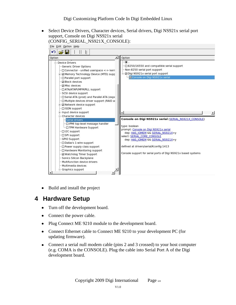Digi Customizing Platform Code In Digi Embedded Linux

Select Device Drivers, Character devices, Serial drivers, Digi NS921x serial port support, Console on Digi NS921x serial (CONFIG\_SERIAL\_NS921X\_CONSOLE):



Build and install the project

#### <span id="page-5-0"></span>**4 Hardware Setup**

- Turn off the development board.
- Connect the power cable.
- Plug Connect ME 9210 module to the development board.  $\bullet$
- Connect Ethernet cable to Connect ME 9210 to your development PC (for updating firmware).
- Connect a serial null modem cable (pins 2 and 3 crossed) to your host computer (e.g. COMA is the CONSOLE). Plug the cable into Serial Port A of the Digi development board.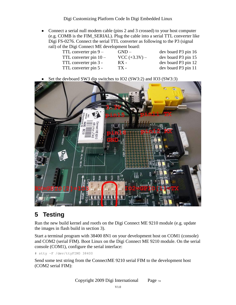Digi Customizing Platform Code In Digi Embedded Linux

Connect a serial null modem cable (pins 2 and 3 crossed) to your host computer  $\bullet$ (e.g. COMB is the FIM\_SERIAL). Plug the cable into a serial TTL converter like Digi FS-0276. Connect the serial TTL converter as following to the P3 (signal rail) of the Digi Connect ME development board:

| TTL converter pin $9-$   | $GND -$         | dev board P3 pin 16 |
|--------------------------|-----------------|---------------------|
| TTL converter pin $10 -$ | $VCC (+3.3V) -$ | dev board P3 pin 15 |
| TTL converter pin 3 -    | $RX -$          | dev board P3 pin 12 |
| TTL converter pin 5 -    | TX -            | dev board P3 pin 11 |
|                          |                 |                     |

Set the devboard SW3 dip switches to IO2 (SW3:2) and IO3 (SW3:3)  $\bullet$ 



# <span id="page-6-0"></span>**5 Testing**

Run the new build kernel and rootfs on the Digi Connect ME 9210 module (e.g. update the images in flash build in section [3\)](#page-2-2).

Start a terminal program with 38400 8N1 on your development host on COM1 (console) and COM2 (serial FIM). Boot Linux on the Digi Connect ME 9210 module. On the serial console (COM1), configure the serial interface:

# stty –F /dev/ttyFIM0 38400

Send some test string from the ConnectME 9210 serial FIM to the development host (COM2 serial FIM):

Copyright 2009 Digi International Page 7/8